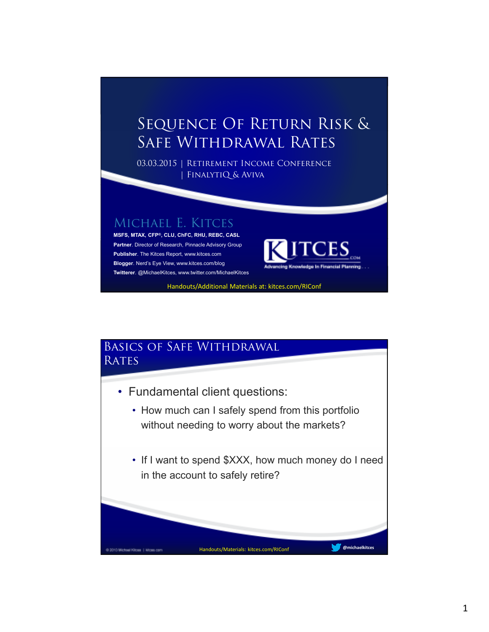## Sequence Of Return Risk & Safe Withdrawal Rates

03.03.2015 | Retirement Income Conference | FinalytiQ & Aviva

## Michael E. Kitces

**MSFS, MTAX, CFP®, CLU, ChFC, RHU, REBC, CASL Partner**. Director of Research, Pinnacle Advisory Group **Publisher**. The Kitces Report, www.kitces.com **Blogger**. Nerd's Eye View, www.kitces.com/blog **Twitterer**. @MichaelKitces, www.twitter.com/MichaelKitces



Handouts/Additional Materials at: kitces.com/RIConf

## Basics of Safe Withdrawal **RATES**

- Fundamental client questions:
	- How much can I safely spend from this portfolio without needing to worry about the markets?
	- If I want to spend \$XXX, how much money do I need in the account to safely retire?

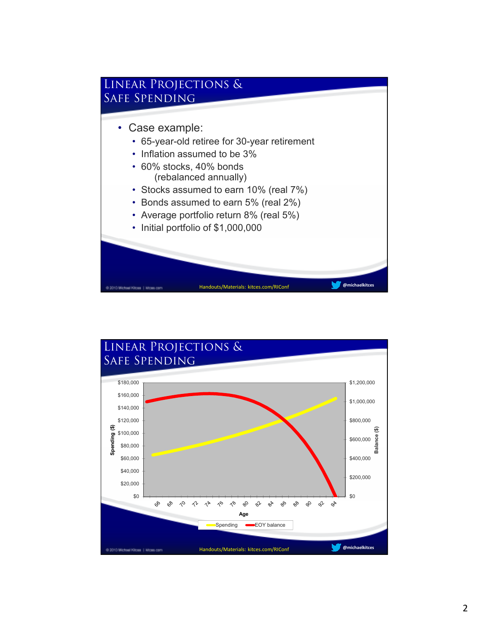

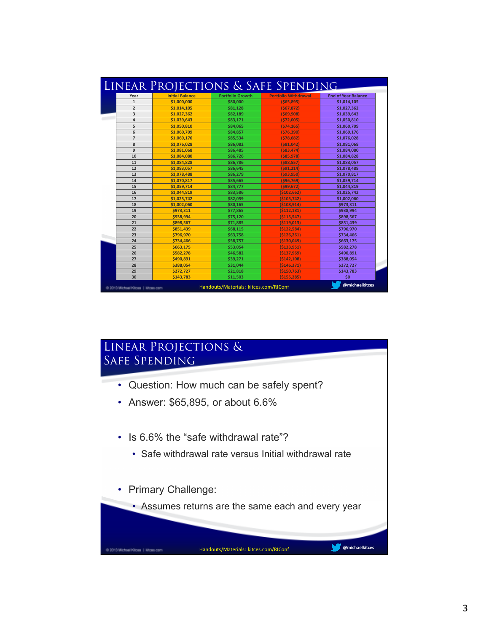| Year           | <b>Initial Balance</b> | <b>Portfolio Growth</b> | <b>Portfolio Withdrawal</b> | <b>End of Year Balance</b> |
|----------------|------------------------|-------------------------|-----------------------------|----------------------------|
| $\mathbf{1}$   | \$1,000,000            | \$80,000                | ( \$65, 895)                | \$1,014,105                |
| $\overline{2}$ | \$1,014,105            | \$81.128                | (567.872)                   | \$1,027,362                |
| 3              | \$1,027,362            | \$82,189                | (569,908)                   | \$1,039,643                |
| 4              | \$1,039,643            | \$83,171                | ( \$72,005]                 | \$1,050,810                |
| 5              | \$1,050,810            | \$84,065                | (574.165)                   | \$1,060,709                |
| 6              | \$1,060,709            | \$84,857                | (576, 390)                  | \$1,069,176                |
| $\overline{7}$ | \$1.069.176            | \$85.534                | (578.682)                   | \$1,076,028                |
| 8              | \$1,076,028            | \$86,082                | (581, 042)                  | \$1,081,068                |
| 9              | \$1.081.068            | \$86.485                | $($ \$83.474)               | \$1.084.080                |
| 10             | \$1,084,080            | \$86,726                | ( \$85, 978)                | \$1,084,828                |
| 11             | \$1.084.828            | \$86.786                | $($ \$88.557)               | \$1,083,057                |
| 12             | \$1,083,057            | \$86,645                | (591, 214)                  | \$1,078,488                |
| 13             | \$1,078,488            | \$86,279                | ( \$93, 950)                | \$1,070,817                |
| 14             | \$1.070.817            | \$85.665                | (596.769)                   | \$1,059,714                |
| 15             | \$1,059,714            | \$84,777                | (599, 672)                  | \$1,044,819                |
| 16             | \$1,044,819            | \$83.586                | (5102.662)                  | \$1,025,742                |
| 17             | \$1,025,742            | \$82,059                | ( \$105, 742]               | \$1,002,060                |
| 18             | \$1,002,060            | \$80,165                | (5108, 914)                 | \$973,311                  |
| 19             | \$973,311              | \$77,865                | (5112, 181)                 | \$938,994                  |
| 20             | \$938.994              | \$75,120                | ( \$115, 547)               | \$898,567                  |
| 21             | \$898,567              | \$71,885                | (5119, 013)                 | \$851,439                  |
| 22             | \$851,439              | \$68,115                | (5122,584)                  | \$796,970                  |
| 23             | \$796,970              | \$63,758                | (5126, 261)                 | \$734,466                  |
| 24             | \$734.466              | \$58,757                | ( \$130,049]                | \$663,175                  |
| 25             | \$663.175              | \$53,054                | ( \$133, 951)               | \$582,278                  |
| 26             | \$582,278              | \$46,582                | ( \$137, 969)               | \$490,891                  |
| 27             | \$490,891              | \$39,271                | (5142, 108)                 | \$388,054                  |
| 28             | \$388,054              | \$31,044                | (5146, 371)                 | \$272,727                  |
| 29             | \$272.727              | \$21,818                | ( \$150, 763)               | \$143,783                  |
| 30             | \$143,783              | \$11,503                | ( \$155, 285)               | \$0                        |

## Linear Projections & Safe Spending

- Question: How much can be safely spent?
- Answer: \$65,895, or about 6.6%
- Is 6.6% the "safe withdrawal rate"?
	- Safe withdrawal rate versus Initial withdrawal rate
- Primary Challenge:

@ 3015 Michael Kitoes | Woes com

• Assumes returns are the same each and every year

**@michaelkitces** Handouts/Materials: kitces.com/RIConf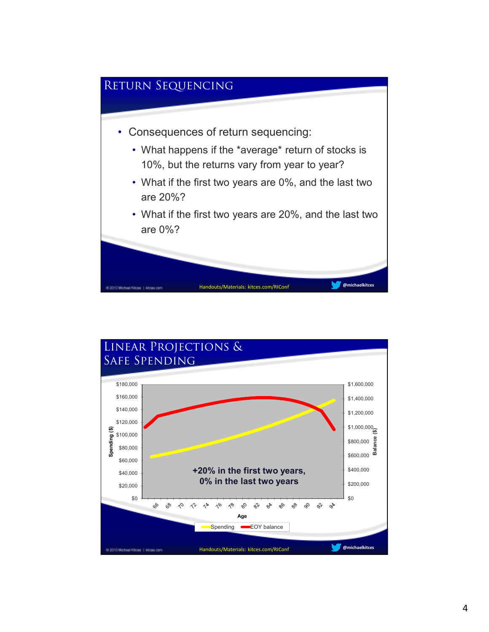

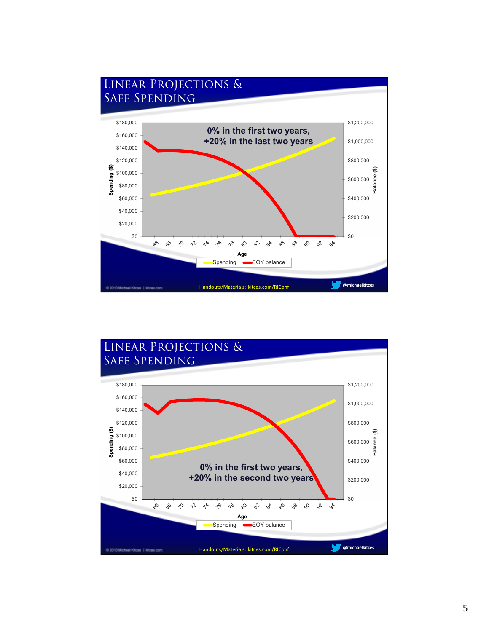

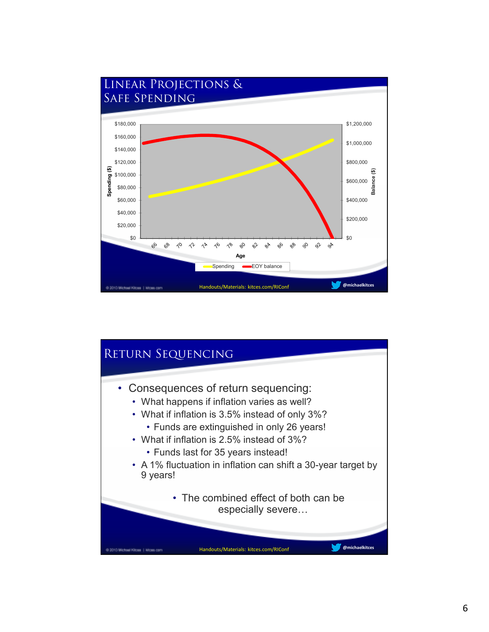

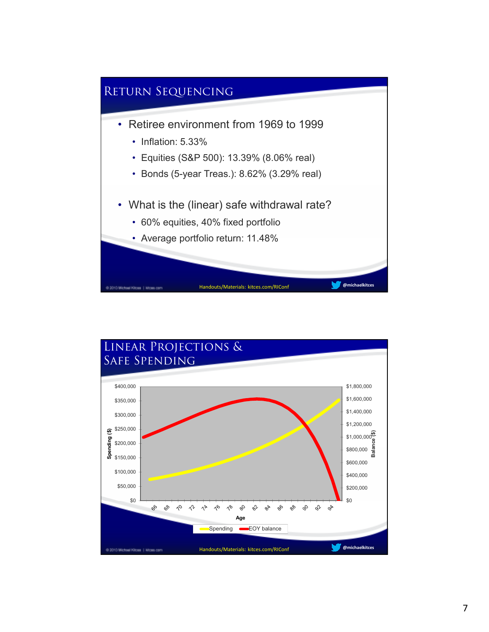

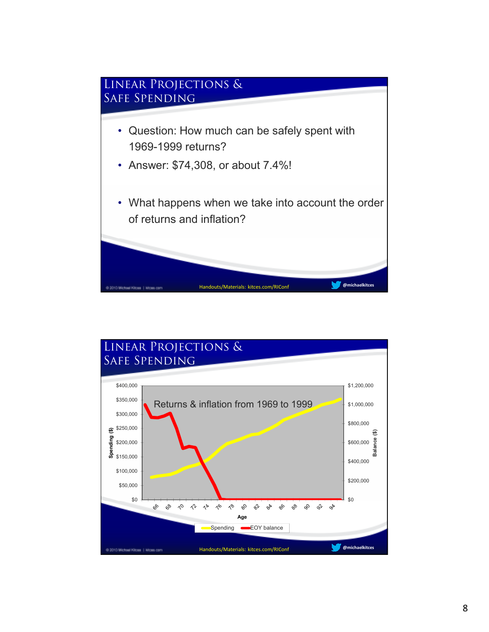

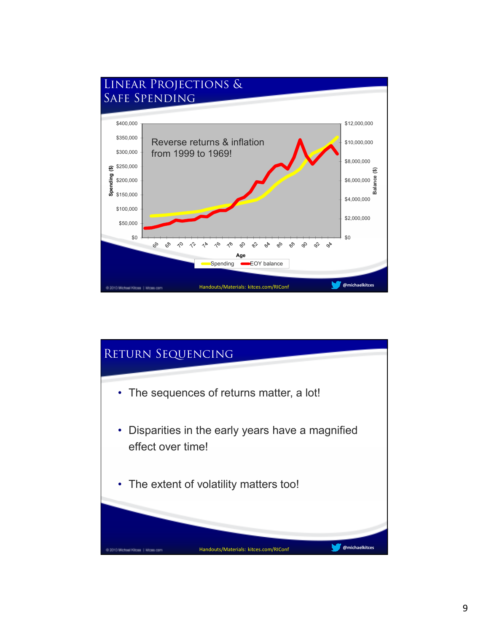

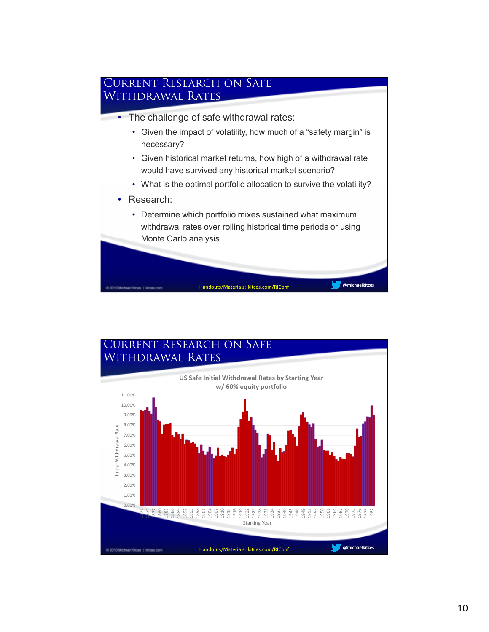

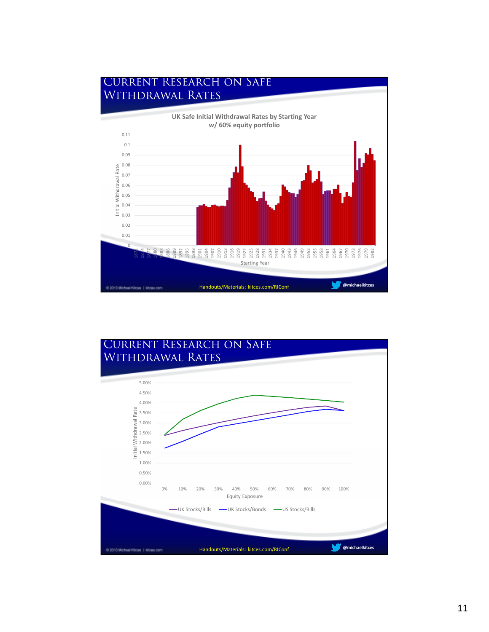

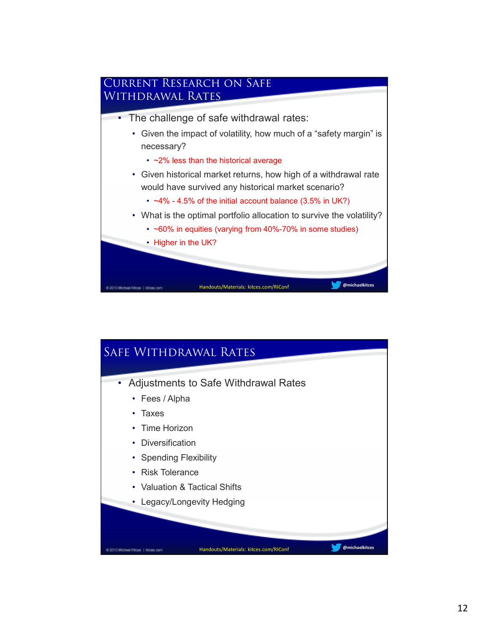

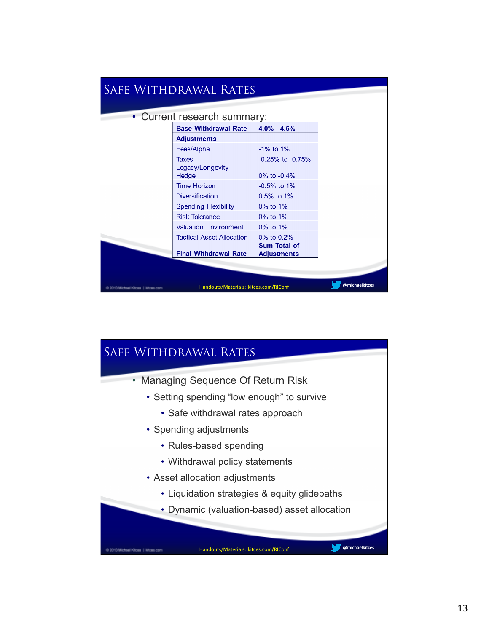|                                                                                              | <b>SAFE WITHDRAWAL RATES</b> |                                    |  |  |
|----------------------------------------------------------------------------------------------|------------------------------|------------------------------------|--|--|
|                                                                                              | • Current research summary:  |                                    |  |  |
|                                                                                              | <b>Base Withdrawal Rate</b>  | $4.0\% - 4.5\%$                    |  |  |
|                                                                                              | <b>Adjustments</b>           |                                    |  |  |
|                                                                                              | Fees/Alpha                   | $-1\%$ to $1\%$                    |  |  |
|                                                                                              | Taxes                        | $-0.25\%$ to $-0.75\%$             |  |  |
|                                                                                              | Legacy/Longevity<br>Hedge    | 0% to $-0.4%$                      |  |  |
|                                                                                              | <b>Time Horizon</b>          | $-0.5%$ to 1%                      |  |  |
|                                                                                              | <b>Diversification</b>       | $0.5\%$ to 1%                      |  |  |
|                                                                                              | <b>Spending Flexibility</b>  | $0\%$ to $1\%$                     |  |  |
|                                                                                              | <b>Risk Tolerance</b>        | $0\%$ to $1\%$                     |  |  |
|                                                                                              | <b>Valuation Environment</b> | $0\%$ to $1\%$                     |  |  |
|                                                                                              | Tactical Asset Allocation    | 0% to 0.2%                         |  |  |
|                                                                                              | <b>Final Withdrawal Rate</b> | Sum Total of<br><b>Adjustments</b> |  |  |
|                                                                                              |                              |                                    |  |  |
| @michaelkitces<br>Handouts/Materials: kitces.com/RIConf<br>@ 3015 Michael Kitces   Mices com |                              |                                    |  |  |

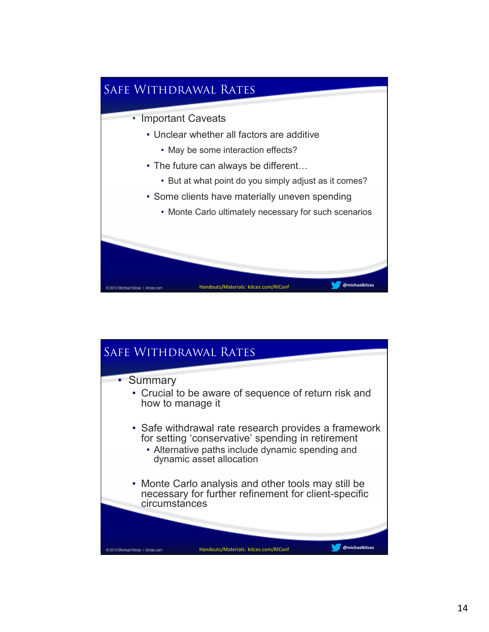

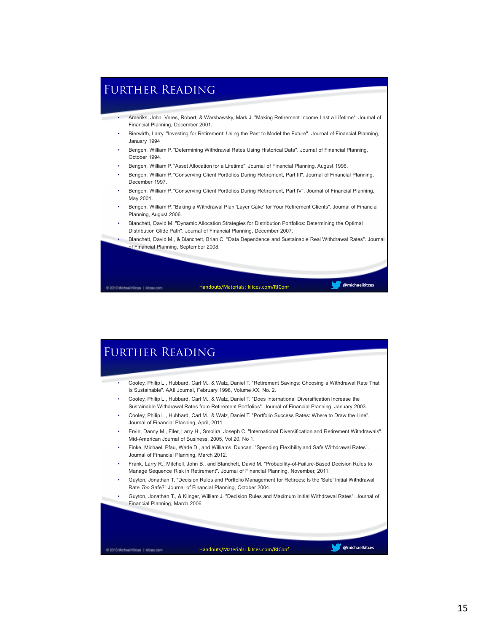

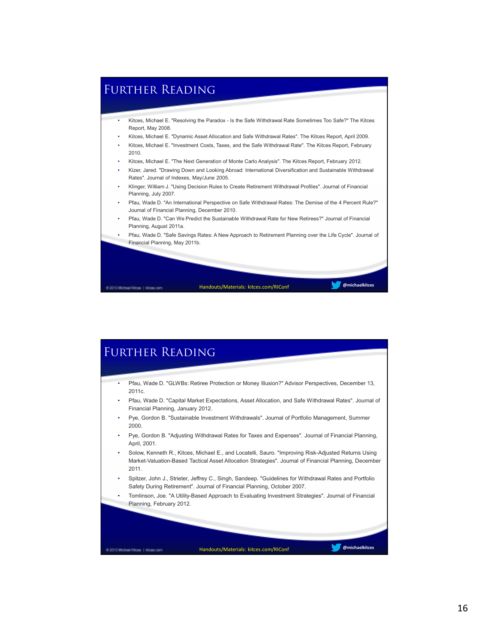